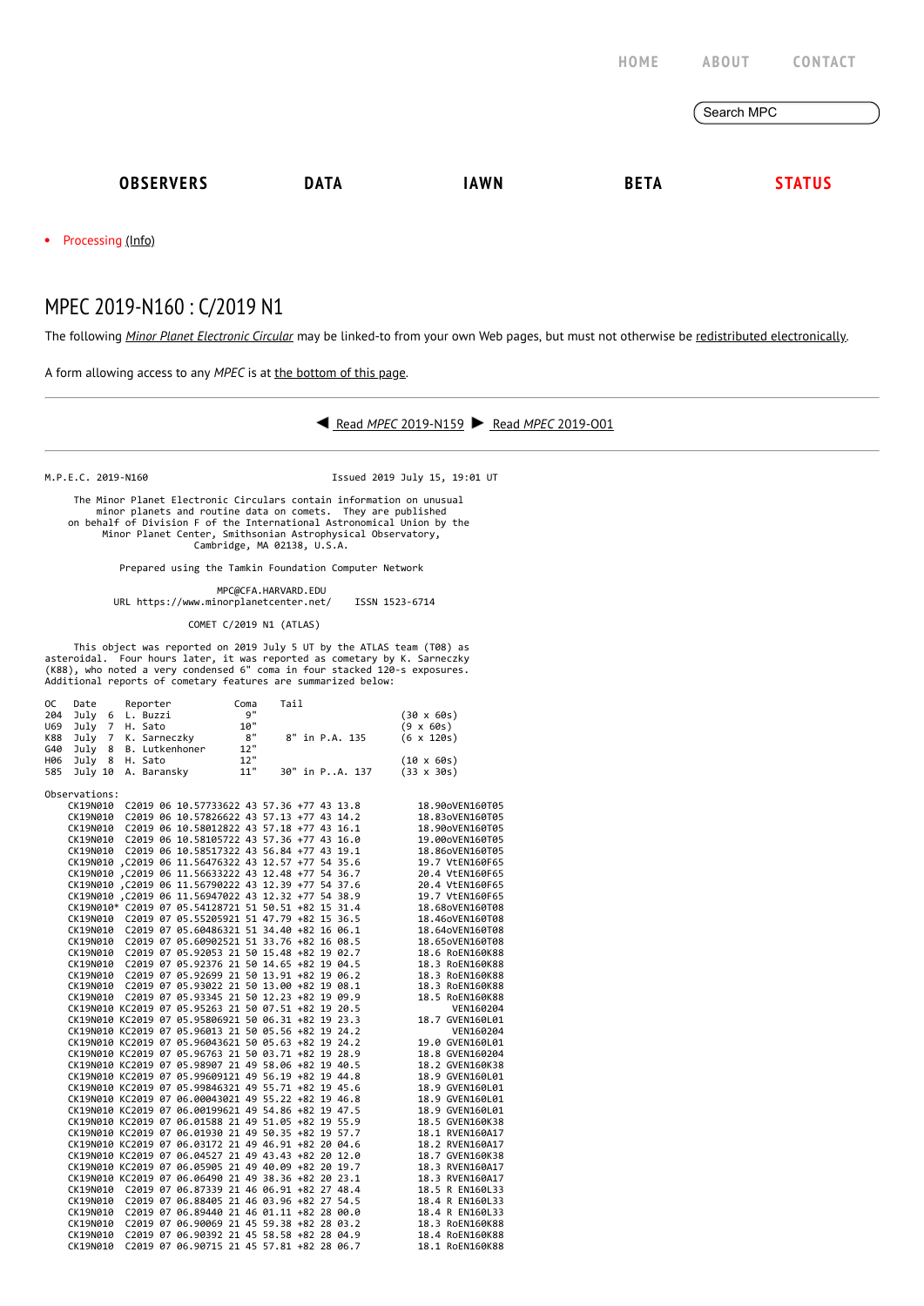|                  |             |             | HOME        | <b>ABOUT</b> | <b>CONTACT</b> |
|------------------|-------------|-------------|-------------|--------------|----------------|
|                  |             |             |             | Search MPC   |                |
| <b>OBSERVERS</b> | <b>DATA</b> | <b>IAWN</b> | <b>BETA</b> |              | <b>STATUS</b>  |

• Processing [\(Info\)](https://minorplanetcenter.net/iau/info/MPCOpStatus.html)

## MPEC 2019-N160 : C/2019 N1

The following *Minor Planet [Electronic](https://minorplanetcenter.net/iau/services/MPEC.html) Circular* may be linked-to from your own Web pages, but must not otherwise be redistributed [electronically](https://minorplanetcenter.net/iau/WWWPolicy.html).

A form allowing access to any *MPEC* is at the [bottom](https://minorplanetcenter.net/mpec/K19/K19NG0.html#form) of this page.



M.P.E.C. 2019-N160 Issued 2019 July 15, 19:01 UT

 The Minor Planet Electronic Circulars contain information on unusual minor planets and routine data on comets. They are published<br>on behalf of Division F of the International Astronomical Union by the<br>Minor Planet Center, Smithsonian Astrophysical Observatory,<br>Cambridge, MA 02138, U.S.A.

Prepared using the Tamkin Foundation Computer Network

MPC@CFA.HARVARD.EDU

URL https://www.minorplanetcenter.net/ ISSN 1523-6714

COMET C/2019 N1 (ATLAS)

 This object was reported on 2019 July 5 UT by the ATLAS team (T08) as asteroidal. Four hours later, it was reported as cometary by K. Sarneczky (K88), who noted a very condensed 6" coma in four stacked 120-s exposures. Additional reports of cometary features are summarized below:

| 0C  | Date          | Reporter   |                                                                                                                                                                |                                                                                                                                                  | Coma | Tail |  |                |                   |                 |
|-----|---------------|------------|----------------------------------------------------------------------------------------------------------------------------------------------------------------|--------------------------------------------------------------------------------------------------------------------------------------------------|------|------|--|----------------|-------------------|-----------------|
| 204 | July          | 6 L. Buzzi |                                                                                                                                                                |                                                                                                                                                  | 9"   |      |  |                | $(30 \times 60s)$ |                 |
| U69 |               |            |                                                                                                                                                                |                                                                                                                                                  |      |      |  |                | $(9 \times 60s)$  |                 |
| K88 |               |            |                                                                                                                                                                |                                                                                                                                                  |      |      |  | 8" in P.A. 135 | $(6 \times 120s)$ |                 |
| G40 |               |            |                                                                                                                                                                | July 6 L. Buzzi 9"<br>July 7 H. Sato 10"<br>July 7 K. Sarneczky 8"<br>July 8 B. Lutkenhoner 12"<br>July 8 H. Sato 12"<br>July 10 A. Baransky 11" |      |      |  |                |                   |                 |
| H06 |               |            |                                                                                                                                                                |                                                                                                                                                  |      |      |  |                | $(10 \times 60s)$ |                 |
| 585 |               |            |                                                                                                                                                                |                                                                                                                                                  | 11"  |      |  | 30" in PA. 137 | $(33 \times 30s)$ |                 |
|     |               |            |                                                                                                                                                                |                                                                                                                                                  |      |      |  |                |                   |                 |
|     | Observations: |            |                                                                                                                                                                |                                                                                                                                                  |      |      |  |                |                   |                 |
|     |               |            | CK19N010 C2019 06 10.57733622 43 57.36 +77 43 13.8                                                                                                             |                                                                                                                                                  |      |      |  |                |                   | 18.90oVEN160T05 |
|     |               |            | CK19N010 C2019 06 10.57826622 43 57.13 +77 43 14.2                                                                                                             |                                                                                                                                                  |      |      |  |                |                   | 18.83oVEN160T05 |
|     |               |            | CK19N010 C2019 06 10.58012822 43 57.18 +77 43 16.1                                                                                                             |                                                                                                                                                  |      |      |  |                |                   | 18.90oVEN160T05 |
|     |               |            | CK19N010 C2019 06 10.58105722 43 57.36 +77 43 16.0                                                                                                             |                                                                                                                                                  |      |      |  |                |                   | 19.00oVEN160T05 |
|     |               |            | CK19N010 C2019 06 10.58517322 43 56.84 +77 43 19.1                                                                                                             |                                                                                                                                                  |      |      |  |                |                   | 18.86oVEN160T05 |
|     |               |            | CK19N010 .C2019 06 11.56476322 43 12.57 +77 54 35.6                                                                                                            |                                                                                                                                                  |      |      |  |                |                   | 19.7 VtEN160F65 |
|     |               |            | CK19N010, C2019 06 11.56633222 43 12.48 +77 54 36.7                                                                                                            |                                                                                                                                                  |      |      |  |                |                   | 20.4 VtEN160F65 |
|     |               |            | CK19N010 .C2019 06 11.56790222 43 12.39 +77 54 37.6                                                                                                            |                                                                                                                                                  |      |      |  |                |                   | 20.4 VtEN160F65 |
|     |               |            | CK19N010, C2019 06 11.56947022 43 12.32 +77 54 38.9                                                                                                            |                                                                                                                                                  |      |      |  |                |                   | 19.7 VtEN160F65 |
|     |               |            | CK19N010* C2019 07 05.54128721 51 50.51 +82 15 31.4                                                                                                            |                                                                                                                                                  |      |      |  |                |                   | 18.68oVEN160T08 |
|     |               |            | CK19N010 C2019 07 05.55205921 51 47.79 +82 15 36.5                                                                                                             |                                                                                                                                                  |      |      |  |                |                   | 18.46oVEN160T08 |
|     |               |            | CK19N010 C2019 07 05.60486321 51 34.40 +82 16 06.1                                                                                                             |                                                                                                                                                  |      |      |  |                |                   | 18.64oVEN160T08 |
|     |               |            | CK19N010 C2019 07 05.60902521 51 33.76 +82 16 08.5                                                                                                             |                                                                                                                                                  |      |      |  |                |                   | 18.65oVEN160T08 |
|     |               |            | CK19N010 C2019 07 05.92053 21 50 15.48 +82 19 02.7                                                                                                             |                                                                                                                                                  |      |      |  |                |                   | 18.6 RoEN160K88 |
|     |               |            | CK19N010 C2019 07 05.92376 21 50 14.65 +82 19 04.5                                                                                                             |                                                                                                                                                  |      |      |  |                |                   | 18.3 RoEN160K88 |
|     |               |            | CK19N010 C2019 07 05.92699 21 50 13.91 +82 19 06.2                                                                                                             |                                                                                                                                                  |      |      |  |                |                   | 18.3 RoEN160K88 |
|     |               |            | CK19N010 C2019 07 05.93022 21 50 13.00 +82 19 08.1                                                                                                             |                                                                                                                                                  |      |      |  |                |                   | 18.3 RoEN160K88 |
|     |               |            | CK19N010 C2019 07 05.93345 21 50 12.23 +82 19 09.9                                                                                                             |                                                                                                                                                  |      |      |  |                |                   | 18.5 RoEN160K88 |
|     |               |            | CK19N010 KC2019 07 05.95263 21 50 07.51 +82 19 20.5<br>CK19N010 KC2019 07 05.95806921 50 06.31 +82 19 23.3                                                     |                                                                                                                                                  |      |      |  |                |                   | VEN160204       |
|     |               |            |                                                                                                                                                                |                                                                                                                                                  |      |      |  |                |                   | 18.7 GVEN160L01 |
|     |               |            | CK19N010 KC2019 07 05.96013 21 50 05.56 +82 19 24.2                                                                                                            |                                                                                                                                                  |      |      |  |                |                   | VEN160204       |
|     |               |            | CK19N010 KC2019 07 05.96043621 50 05.63 +82 19 24.2                                                                                                            |                                                                                                                                                  |      |      |  |                |                   | 19.0 GVEN160L01 |
|     |               |            | CK19N010 KC2019 07 05.96763 21 50 03.71 +82 19 28.9                                                                                                            |                                                                                                                                                  |      |      |  |                |                   | 18.8 GVEN160204 |
|     |               |            | CK19N010 KC2019 07 05.98907 21 49 58.06 +82 19 40.5                                                                                                            |                                                                                                                                                  |      |      |  |                |                   | 18.2 GVEN160K38 |
|     |               |            | CK19N010 KC2019 07 05.99609121 49 56.19 +82 19 44.8                                                                                                            |                                                                                                                                                  |      |      |  |                |                   | 18.9 GVEN160L01 |
|     |               |            | CK19N010 KC2019 07 05.99846321 49 55.71 +82 19 45.6                                                                                                            |                                                                                                                                                  |      |      |  |                |                   | 18.9 GVEN160L01 |
|     |               |            | CK19N010 KC2019 07 06.00043021 49 55.22 +82 19 46.8                                                                                                            |                                                                                                                                                  |      |      |  |                |                   | 18.9 GVEN160L01 |
|     |               |            | CK19N010 KC2019 07 06.00199621 49 54.86 +82 19 47.5                                                                                                            |                                                                                                                                                  |      |      |  |                |                   | 18.9 GVEN160L01 |
|     |               |            | CK19N010 KC2019 07 06.01588 21 49 51.05 +82 19 55.9                                                                                                            |                                                                                                                                                  |      |      |  |                |                   | 18.5 GVEN160K38 |
|     |               |            | CK19N010 KC2019 07 06.01930 21 49 50.35 +82 19 57.7                                                                                                            |                                                                                                                                                  |      |      |  |                |                   | 18.1 RVEN160A17 |
|     |               |            | CK19N010 KC2019 07 06.03172 21 49 46.91 +82 20 04.6                                                                                                            |                                                                                                                                                  |      |      |  |                |                   | 18.2 RVEN160A17 |
|     |               |            | CK19N010 KC2019 07 06.04527 21 49 43.43 +82 20 12.0                                                                                                            |                                                                                                                                                  |      |      |  |                |                   | 18.7 GVEN160K38 |
|     |               |            | CK19N010 KC2019 07 06.05905 21 49 40.09 +82 20 19.7                                                                                                            |                                                                                                                                                  |      |      |  |                |                   | 18.3 RVEN160A17 |
|     |               |            | CK19N010 KC2019 07 06.06490 21 49 38.36 +82 20 23.1                                                                                                            |                                                                                                                                                  |      |      |  |                |                   | 18.3 RVEN160A17 |
|     |               |            | CK19N010 KC2019 07 06.00490 21 45 56.50 TOZ ZO Z5.1<br>CK19N010 C2019 07 06.87339 21 46 06.91 +82 27 48.4                                                      |                                                                                                                                                  |      |      |  |                |                   | 18.5 R EN160L33 |
|     |               |            | CK19N010 C2019 07 06.88405 21 46 03.96 +82 27 54.5<br>CK19N010 C2019 07 06.89440 21 46 01.11 +82 28 00.0                                                       |                                                                                                                                                  |      |      |  |                |                   | 18.4 R EN160L33 |
|     |               |            |                                                                                                                                                                |                                                                                                                                                  |      |      |  |                |                   | 18.4 R EN160L33 |
|     |               |            | CK19N010 C2019 07 06.90069 21 45 59.38 +82 28 03.2<br>CK19N010 C2019 07 06.90392 21 45 58.58 +82 28 04.9<br>CK19N010 C2019 07 06.90715 21 45 57.81 +82 28 06.7 |                                                                                                                                                  |      |      |  |                |                   | 18.3 RoEN160K88 |
|     |               |            |                                                                                                                                                                |                                                                                                                                                  |      |      |  |                |                   | 18.4 RoEN160K88 |
|     | CK19N010      |            | C2019 07 06.90715 21 45 57.81 +82 28 06.7                                                                                                                      |                                                                                                                                                  |      |      |  |                |                   | 18.1 RoEN160K88 |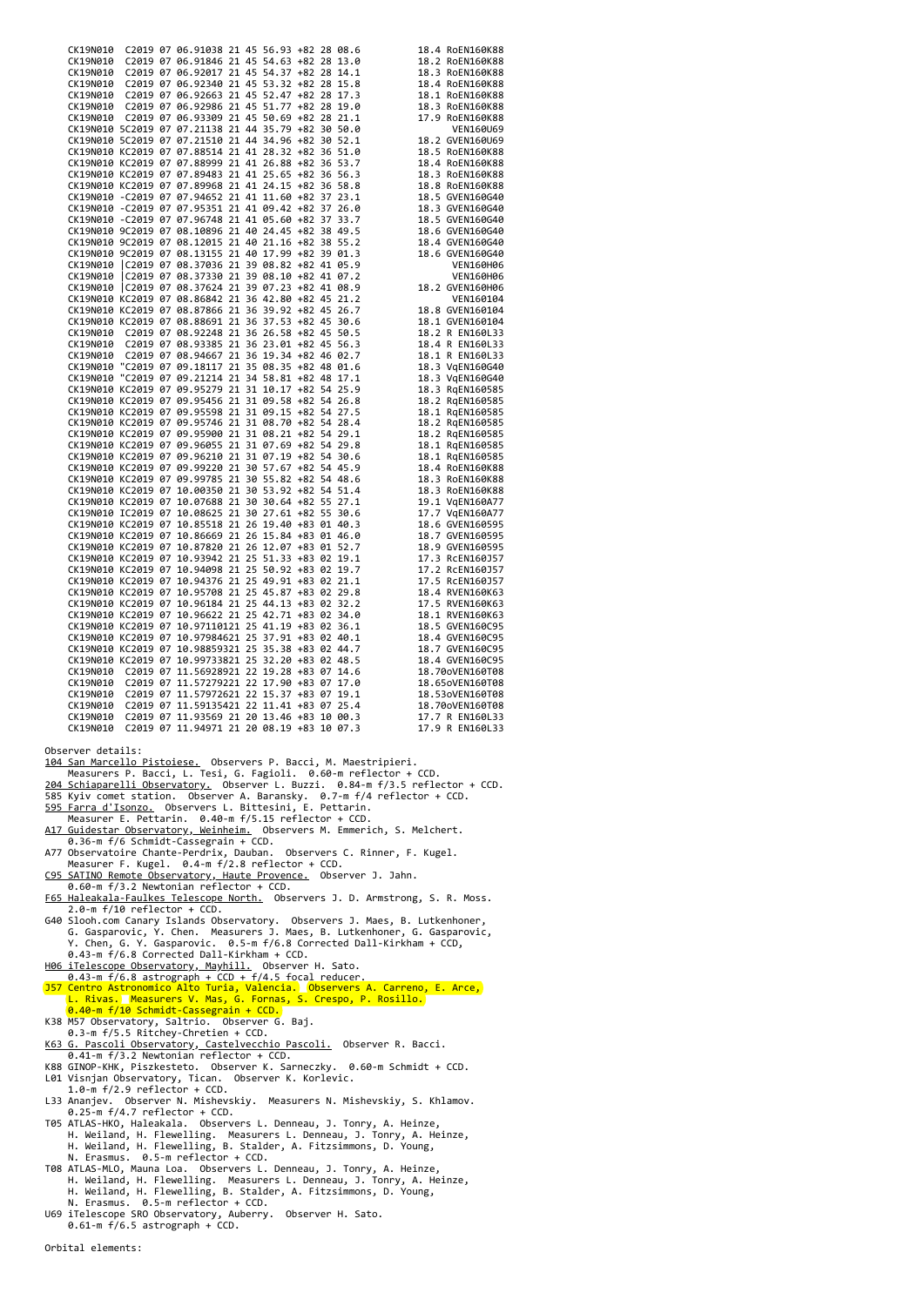| CLIMBRIS C2030 97 66, 1983 21 45 5, 69 462 223 68, 1984 1.<br>CLIMBRIS C2030 97 66, 61886 21 45 5, 69 462 223 61, 6<br>CLIMBRIS C2030 97 66, 61846 21 45 5, 69 462 42 42 5 1, 9<br>CLIMBRIS C2030 97 66, 6286 21 42 5 5, 69 462 31<br>Observer details:<br>104 San Marcello Pistoiese. Observers P. Bacci, M. Maestripieri.<br>Measurers P. Bacci, L. Tesi, G. Fagioli. 0.60-m reflector + CCD.<br>204 Schiaparelli Observatory. Observer L. Buzzi. 0.84-m f/3.5 reflector + CCD.<br>585 Kyiv comet station. Observer A. Baransky. 0.7-m f/4 reflector + CCD.<br>595 Farra d'Isonzo. Observers L. Bittesini, E. Pettarin.<br>Measurer E. Pettarin. 0.40-m f/5.15 reflector + CCD.<br>A17 Guidestar Observatory, Weinheim. Observers M. Emmerich, S. Melchert.<br>0.36-m f/6 Schmidt-Cassegrain + CCD.<br>A77 Observatoire Chante-Perdrix, Dauban. Observers C. Rinner, F. Kugel.<br>Measurer F. Kugel. 0.4-m f/2.8 reflector + CCD.<br>C95 SATINO Remote Observatory, Haute Provence. Observer J. Jahn.<br>0.60-m f/3.2 Newtonian reflector + CCD.<br>F65 Haleakala-Faulkes Telescope North. Observers J. D. Armstrong, S. R. Moss.<br>$2.0-m f/10$ reflector + CCD.<br>G40 Slooh.com Canary Islands Observatory. Observers J. Maes, B. Lutkenhoner,<br>G. Gasparovic, Y. Chen. Measurers J. Maes, B. Lutkenhoner, G. Gasparovic,<br>Y. Chen, G. Y. Gasparovic.  0.5-m f/6.8 Corrected Dall-Kirkham + CCD,<br>0.43-m f/6.8 Corrected Dall-Kirkham + CCD.<br>H06 iTelescope Observatory, Mayhill. Observer H. Sato.<br>$0.43$ -m f/6.8 astrograph + CCD + f/4.5 focal reducer.<br>$T1$ Contro Actronomics Alto Tunio |  |  |  |  |  |  |  |               |  |  |  |  |
|---------------------------------------------------------------------------------------------------------------------------------------------------------------------------------------------------------------------------------------------------------------------------------------------------------------------------------------------------------------------------------------------------------------------------------------------------------------------------------------------------------------------------------------------------------------------------------------------------------------------------------------------------------------------------------------------------------------------------------------------------------------------------------------------------------------------------------------------------------------------------------------------------------------------------------------------------------------------------------------------------------------------------------------------------------------------------------------------------------------------------------------------------------------------------------------------------------------------------------------------------------------------------------------------------------------------------------------------------------------------------------------------------------------------------------------------------------------------------------------------------------------------------------------------------------------------------------------------------------------------|--|--|--|--|--|--|--|---------------|--|--|--|--|
|                                                                                                                                                                                                                                                                                                                                                                                                                                                                                                                                                                                                                                                                                                                                                                                                                                                                                                                                                                                                                                                                                                                                                                                                                                                                                                                                                                                                                                                                                                                                                                                                                     |  |  |  |  |  |  |  |               |  |  |  |  |
|                                                                                                                                                                                                                                                                                                                                                                                                                                                                                                                                                                                                                                                                                                                                                                                                                                                                                                                                                                                                                                                                                                                                                                                                                                                                                                                                                                                                                                                                                                                                                                                                                     |  |  |  |  |  |  |  |               |  |  |  |  |
|                                                                                                                                                                                                                                                                                                                                                                                                                                                                                                                                                                                                                                                                                                                                                                                                                                                                                                                                                                                                                                                                                                                                                                                                                                                                                                                                                                                                                                                                                                                                                                                                                     |  |  |  |  |  |  |  |               |  |  |  |  |
|                                                                                                                                                                                                                                                                                                                                                                                                                                                                                                                                                                                                                                                                                                                                                                                                                                                                                                                                                                                                                                                                                                                                                                                                                                                                                                                                                                                                                                                                                                                                                                                                                     |  |  |  |  |  |  |  |               |  |  |  |  |
|                                                                                                                                                                                                                                                                                                                                                                                                                                                                                                                                                                                                                                                                                                                                                                                                                                                                                                                                                                                                                                                                                                                                                                                                                                                                                                                                                                                                                                                                                                                                                                                                                     |  |  |  |  |  |  |  |               |  |  |  |  |
|                                                                                                                                                                                                                                                                                                                                                                                                                                                                                                                                                                                                                                                                                                                                                                                                                                                                                                                                                                                                                                                                                                                                                                                                                                                                                                                                                                                                                                                                                                                                                                                                                     |  |  |  |  |  |  |  |               |  |  |  |  |
|                                                                                                                                                                                                                                                                                                                                                                                                                                                                                                                                                                                                                                                                                                                                                                                                                                                                                                                                                                                                                                                                                                                                                                                                                                                                                                                                                                                                                                                                                                                                                                                                                     |  |  |  |  |  |  |  |               |  |  |  |  |
|                                                                                                                                                                                                                                                                                                                                                                                                                                                                                                                                                                                                                                                                                                                                                                                                                                                                                                                                                                                                                                                                                                                                                                                                                                                                                                                                                                                                                                                                                                                                                                                                                     |  |  |  |  |  |  |  |               |  |  |  |  |
|                                                                                                                                                                                                                                                                                                                                                                                                                                                                                                                                                                                                                                                                                                                                                                                                                                                                                                                                                                                                                                                                                                                                                                                                                                                                                                                                                                                                                                                                                                                                                                                                                     |  |  |  |  |  |  |  |               |  |  |  |  |
|                                                                                                                                                                                                                                                                                                                                                                                                                                                                                                                                                                                                                                                                                                                                                                                                                                                                                                                                                                                                                                                                                                                                                                                                                                                                                                                                                                                                                                                                                                                                                                                                                     |  |  |  |  |  |  |  |               |  |  |  |  |
|                                                                                                                                                                                                                                                                                                                                                                                                                                                                                                                                                                                                                                                                                                                                                                                                                                                                                                                                                                                                                                                                                                                                                                                                                                                                                                                                                                                                                                                                                                                                                                                                                     |  |  |  |  |  |  |  |               |  |  |  |  |
|                                                                                                                                                                                                                                                                                                                                                                                                                                                                                                                                                                                                                                                                                                                                                                                                                                                                                                                                                                                                                                                                                                                                                                                                                                                                                                                                                                                                                                                                                                                                                                                                                     |  |  |  |  |  |  |  |               |  |  |  |  |
|                                                                                                                                                                                                                                                                                                                                                                                                                                                                                                                                                                                                                                                                                                                                                                                                                                                                                                                                                                                                                                                                                                                                                                                                                                                                                                                                                                                                                                                                                                                                                                                                                     |  |  |  |  |  |  |  |               |  |  |  |  |
|                                                                                                                                                                                                                                                                                                                                                                                                                                                                                                                                                                                                                                                                                                                                                                                                                                                                                                                                                                                                                                                                                                                                                                                                                                                                                                                                                                                                                                                                                                                                                                                                                     |  |  |  |  |  |  |  |               |  |  |  |  |
|                                                                                                                                                                                                                                                                                                                                                                                                                                                                                                                                                                                                                                                                                                                                                                                                                                                                                                                                                                                                                                                                                                                                                                                                                                                                                                                                                                                                                                                                                                                                                                                                                     |  |  |  |  |  |  |  |               |  |  |  |  |
|                                                                                                                                                                                                                                                                                                                                                                                                                                                                                                                                                                                                                                                                                                                                                                                                                                                                                                                                                                                                                                                                                                                                                                                                                                                                                                                                                                                                                                                                                                                                                                                                                     |  |  |  |  |  |  |  |               |  |  |  |  |
|                                                                                                                                                                                                                                                                                                                                                                                                                                                                                                                                                                                                                                                                                                                                                                                                                                                                                                                                                                                                                                                                                                                                                                                                                                                                                                                                                                                                                                                                                                                                                                                                                     |  |  |  |  |  |  |  |               |  |  |  |  |
|                                                                                                                                                                                                                                                                                                                                                                                                                                                                                                                                                                                                                                                                                                                                                                                                                                                                                                                                                                                                                                                                                                                                                                                                                                                                                                                                                                                                                                                                                                                                                                                                                     |  |  |  |  |  |  |  |               |  |  |  |  |
|                                                                                                                                                                                                                                                                                                                                                                                                                                                                                                                                                                                                                                                                                                                                                                                                                                                                                                                                                                                                                                                                                                                                                                                                                                                                                                                                                                                                                                                                                                                                                                                                                     |  |  |  |  |  |  |  |               |  |  |  |  |
|                                                                                                                                                                                                                                                                                                                                                                                                                                                                                                                                                                                                                                                                                                                                                                                                                                                                                                                                                                                                                                                                                                                                                                                                                                                                                                                                                                                                                                                                                                                                                                                                                     |  |  |  |  |  |  |  |               |  |  |  |  |
|                                                                                                                                                                                                                                                                                                                                                                                                                                                                                                                                                                                                                                                                                                                                                                                                                                                                                                                                                                                                                                                                                                                                                                                                                                                                                                                                                                                                                                                                                                                                                                                                                     |  |  |  |  |  |  |  |               |  |  |  |  |
|                                                                                                                                                                                                                                                                                                                                                                                                                                                                                                                                                                                                                                                                                                                                                                                                                                                                                                                                                                                                                                                                                                                                                                                                                                                                                                                                                                                                                                                                                                                                                                                                                     |  |  |  |  |  |  |  |               |  |  |  |  |
|                                                                                                                                                                                                                                                                                                                                                                                                                                                                                                                                                                                                                                                                                                                                                                                                                                                                                                                                                                                                                                                                                                                                                                                                                                                                                                                                                                                                                                                                                                                                                                                                                     |  |  |  |  |  |  |  |               |  |  |  |  |
|                                                                                                                                                                                                                                                                                                                                                                                                                                                                                                                                                                                                                                                                                                                                                                                                                                                                                                                                                                                                                                                                                                                                                                                                                                                                                                                                                                                                                                                                                                                                                                                                                     |  |  |  |  |  |  |  |               |  |  |  |  |
|                                                                                                                                                                                                                                                                                                                                                                                                                                                                                                                                                                                                                                                                                                                                                                                                                                                                                                                                                                                                                                                                                                                                                                                                                                                                                                                                                                                                                                                                                                                                                                                                                     |  |  |  |  |  |  |  |               |  |  |  |  |
|                                                                                                                                                                                                                                                                                                                                                                                                                                                                                                                                                                                                                                                                                                                                                                                                                                                                                                                                                                                                                                                                                                                                                                                                                                                                                                                                                                                                                                                                                                                                                                                                                     |  |  |  |  |  |  |  |               |  |  |  |  |
|                                                                                                                                                                                                                                                                                                                                                                                                                                                                                                                                                                                                                                                                                                                                                                                                                                                                                                                                                                                                                                                                                                                                                                                                                                                                                                                                                                                                                                                                                                                                                                                                                     |  |  |  |  |  |  |  |               |  |  |  |  |
|                                                                                                                                                                                                                                                                                                                                                                                                                                                                                                                                                                                                                                                                                                                                                                                                                                                                                                                                                                                                                                                                                                                                                                                                                                                                                                                                                                                                                                                                                                                                                                                                                     |  |  |  |  |  |  |  |               |  |  |  |  |
|                                                                                                                                                                                                                                                                                                                                                                                                                                                                                                                                                                                                                                                                                                                                                                                                                                                                                                                                                                                                                                                                                                                                                                                                                                                                                                                                                                                                                                                                                                                                                                                                                     |  |  |  |  |  |  |  |               |  |  |  |  |
|                                                                                                                                                                                                                                                                                                                                                                                                                                                                                                                                                                                                                                                                                                                                                                                                                                                                                                                                                                                                                                                                                                                                                                                                                                                                                                                                                                                                                                                                                                                                                                                                                     |  |  |  |  |  |  |  |               |  |  |  |  |
|                                                                                                                                                                                                                                                                                                                                                                                                                                                                                                                                                                                                                                                                                                                                                                                                                                                                                                                                                                                                                                                                                                                                                                                                                                                                                                                                                                                                                                                                                                                                                                                                                     |  |  |  |  |  |  |  |               |  |  |  |  |
|                                                                                                                                                                                                                                                                                                                                                                                                                                                                                                                                                                                                                                                                                                                                                                                                                                                                                                                                                                                                                                                                                                                                                                                                                                                                                                                                                                                                                                                                                                                                                                                                                     |  |  |  |  |  |  |  |               |  |  |  |  |
|                                                                                                                                                                                                                                                                                                                                                                                                                                                                                                                                                                                                                                                                                                                                                                                                                                                                                                                                                                                                                                                                                                                                                                                                                                                                                                                                                                                                                                                                                                                                                                                                                     |  |  |  |  |  |  |  |               |  |  |  |  |
|                                                                                                                                                                                                                                                                                                                                                                                                                                                                                                                                                                                                                                                                                                                                                                                                                                                                                                                                                                                                                                                                                                                                                                                                                                                                                                                                                                                                                                                                                                                                                                                                                     |  |  |  |  |  |  |  |               |  |  |  |  |
|                                                                                                                                                                                                                                                                                                                                                                                                                                                                                                                                                                                                                                                                                                                                                                                                                                                                                                                                                                                                                                                                                                                                                                                                                                                                                                                                                                                                                                                                                                                                                                                                                     |  |  |  |  |  |  |  |               |  |  |  |  |
|                                                                                                                                                                                                                                                                                                                                                                                                                                                                                                                                                                                                                                                                                                                                                                                                                                                                                                                                                                                                                                                                                                                                                                                                                                                                                                                                                                                                                                                                                                                                                                                                                     |  |  |  |  |  |  |  |               |  |  |  |  |
|                                                                                                                                                                                                                                                                                                                                                                                                                                                                                                                                                                                                                                                                                                                                                                                                                                                                                                                                                                                                                                                                                                                                                                                                                                                                                                                                                                                                                                                                                                                                                                                                                     |  |  |  |  |  |  |  |               |  |  |  |  |
|                                                                                                                                                                                                                                                                                                                                                                                                                                                                                                                                                                                                                                                                                                                                                                                                                                                                                                                                                                                                                                                                                                                                                                                                                                                                                                                                                                                                                                                                                                                                                                                                                     |  |  |  |  |  |  |  |               |  |  |  |  |
|                                                                                                                                                                                                                                                                                                                                                                                                                                                                                                                                                                                                                                                                                                                                                                                                                                                                                                                                                                                                                                                                                                                                                                                                                                                                                                                                                                                                                                                                                                                                                                                                                     |  |  |  |  |  |  |  |               |  |  |  |  |
|                                                                                                                                                                                                                                                                                                                                                                                                                                                                                                                                                                                                                                                                                                                                                                                                                                                                                                                                                                                                                                                                                                                                                                                                                                                                                                                                                                                                                                                                                                                                                                                                                     |  |  |  |  |  |  |  |               |  |  |  |  |
|                                                                                                                                                                                                                                                                                                                                                                                                                                                                                                                                                                                                                                                                                                                                                                                                                                                                                                                                                                                                                                                                                                                                                                                                                                                                                                                                                                                                                                                                                                                                                                                                                     |  |  |  |  |  |  |  |               |  |  |  |  |
|                                                                                                                                                                                                                                                                                                                                                                                                                                                                                                                                                                                                                                                                                                                                                                                                                                                                                                                                                                                                                                                                                                                                                                                                                                                                                                                                                                                                                                                                                                                                                                                                                     |  |  |  |  |  |  |  |               |  |  |  |  |
|                                                                                                                                                                                                                                                                                                                                                                                                                                                                                                                                                                                                                                                                                                                                                                                                                                                                                                                                                                                                                                                                                                                                                                                                                                                                                                                                                                                                                                                                                                                                                                                                                     |  |  |  |  |  |  |  |               |  |  |  |  |
|                                                                                                                                                                                                                                                                                                                                                                                                                                                                                                                                                                                                                                                                                                                                                                                                                                                                                                                                                                                                                                                                                                                                                                                                                                                                                                                                                                                                                                                                                                                                                                                                                     |  |  |  |  |  |  |  |               |  |  |  |  |
|                                                                                                                                                                                                                                                                                                                                                                                                                                                                                                                                                                                                                                                                                                                                                                                                                                                                                                                                                                                                                                                                                                                                                                                                                                                                                                                                                                                                                                                                                                                                                                                                                     |  |  |  |  |  |  |  |               |  |  |  |  |
|                                                                                                                                                                                                                                                                                                                                                                                                                                                                                                                                                                                                                                                                                                                                                                                                                                                                                                                                                                                                                                                                                                                                                                                                                                                                                                                                                                                                                                                                                                                                                                                                                     |  |  |  |  |  |  |  |               |  |  |  |  |
|                                                                                                                                                                                                                                                                                                                                                                                                                                                                                                                                                                                                                                                                                                                                                                                                                                                                                                                                                                                                                                                                                                                                                                                                                                                                                                                                                                                                                                                                                                                                                                                                                     |  |  |  |  |  |  |  |               |  |  |  |  |
|                                                                                                                                                                                                                                                                                                                                                                                                                                                                                                                                                                                                                                                                                                                                                                                                                                                                                                                                                                                                                                                                                                                                                                                                                                                                                                                                                                                                                                                                                                                                                                                                                     |  |  |  |  |  |  |  |               |  |  |  |  |
|                                                                                                                                                                                                                                                                                                                                                                                                                                                                                                                                                                                                                                                                                                                                                                                                                                                                                                                                                                                                                                                                                                                                                                                                                                                                                                                                                                                                                                                                                                                                                                                                                     |  |  |  |  |  |  |  |               |  |  |  |  |
|                                                                                                                                                                                                                                                                                                                                                                                                                                                                                                                                                                                                                                                                                                                                                                                                                                                                                                                                                                                                                                                                                                                                                                                                                                                                                                                                                                                                                                                                                                                                                                                                                     |  |  |  |  |  |  |  |               |  |  |  |  |
|                                                                                                                                                                                                                                                                                                                                                                                                                                                                                                                                                                                                                                                                                                                                                                                                                                                                                                                                                                                                                                                                                                                                                                                                                                                                                                                                                                                                                                                                                                                                                                                                                     |  |  |  |  |  |  |  |               |  |  |  |  |
|                                                                                                                                                                                                                                                                                                                                                                                                                                                                                                                                                                                                                                                                                                                                                                                                                                                                                                                                                                                                                                                                                                                                                                                                                                                                                                                                                                                                                                                                                                                                                                                                                     |  |  |  |  |  |  |  |               |  |  |  |  |
|                                                                                                                                                                                                                                                                                                                                                                                                                                                                                                                                                                                                                                                                                                                                                                                                                                                                                                                                                                                                                                                                                                                                                                                                                                                                                                                                                                                                                                                                                                                                                                                                                     |  |  |  |  |  |  |  |               |  |  |  |  |
|                                                                                                                                                                                                                                                                                                                                                                                                                                                                                                                                                                                                                                                                                                                                                                                                                                                                                                                                                                                                                                                                                                                                                                                                                                                                                                                                                                                                                                                                                                                                                                                                                     |  |  |  |  |  |  |  |               |  |  |  |  |
|                                                                                                                                                                                                                                                                                                                                                                                                                                                                                                                                                                                                                                                                                                                                                                                                                                                                                                                                                                                                                                                                                                                                                                                                                                                                                                                                                                                                                                                                                                                                                                                                                     |  |  |  |  |  |  |  |               |  |  |  |  |
|                                                                                                                                                                                                                                                                                                                                                                                                                                                                                                                                                                                                                                                                                                                                                                                                                                                                                                                                                                                                                                                                                                                                                                                                                                                                                                                                                                                                                                                                                                                                                                                                                     |  |  |  |  |  |  |  |               |  |  |  |  |
|                                                                                                                                                                                                                                                                                                                                                                                                                                                                                                                                                                                                                                                                                                                                                                                                                                                                                                                                                                                                                                                                                                                                                                                                                                                                                                                                                                                                                                                                                                                                                                                                                     |  |  |  |  |  |  |  |               |  |  |  |  |
|                                                                                                                                                                                                                                                                                                                                                                                                                                                                                                                                                                                                                                                                                                                                                                                                                                                                                                                                                                                                                                                                                                                                                                                                                                                                                                                                                                                                                                                                                                                                                                                                                     |  |  |  |  |  |  |  |               |  |  |  |  |
|                                                                                                                                                                                                                                                                                                                                                                                                                                                                                                                                                                                                                                                                                                                                                                                                                                                                                                                                                                                                                                                                                                                                                                                                                                                                                                                                                                                                                                                                                                                                                                                                                     |  |  |  |  |  |  |  |               |  |  |  |  |
|                                                                                                                                                                                                                                                                                                                                                                                                                                                                                                                                                                                                                                                                                                                                                                                                                                                                                                                                                                                                                                                                                                                                                                                                                                                                                                                                                                                                                                                                                                                                                                                                                     |  |  |  |  |  |  |  |               |  |  |  |  |
|                                                                                                                                                                                                                                                                                                                                                                                                                                                                                                                                                                                                                                                                                                                                                                                                                                                                                                                                                                                                                                                                                                                                                                                                                                                                                                                                                                                                                                                                                                                                                                                                                     |  |  |  |  |  |  |  |               |  |  |  |  |
|                                                                                                                                                                                                                                                                                                                                                                                                                                                                                                                                                                                                                                                                                                                                                                                                                                                                                                                                                                                                                                                                                                                                                                                                                                                                                                                                                                                                                                                                                                                                                                                                                     |  |  |  |  |  |  |  |               |  |  |  |  |
|                                                                                                                                                                                                                                                                                                                                                                                                                                                                                                                                                                                                                                                                                                                                                                                                                                                                                                                                                                                                                                                                                                                                                                                                                                                                                                                                                                                                                                                                                                                                                                                                                     |  |  |  |  |  |  |  |               |  |  |  |  |
|                                                                                                                                                                                                                                                                                                                                                                                                                                                                                                                                                                                                                                                                                                                                                                                                                                                                                                                                                                                                                                                                                                                                                                                                                                                                                                                                                                                                                                                                                                                                                                                                                     |  |  |  |  |  |  |  |               |  |  |  |  |
|                                                                                                                                                                                                                                                                                                                                                                                                                                                                                                                                                                                                                                                                                                                                                                                                                                                                                                                                                                                                                                                                                                                                                                                                                                                                                                                                                                                                                                                                                                                                                                                                                     |  |  |  |  |  |  |  |               |  |  |  |  |
|                                                                                                                                                                                                                                                                                                                                                                                                                                                                                                                                                                                                                                                                                                                                                                                                                                                                                                                                                                                                                                                                                                                                                                                                                                                                                                                                                                                                                                                                                                                                                                                                                     |  |  |  |  |  |  |  |               |  |  |  |  |
|                                                                                                                                                                                                                                                                                                                                                                                                                                                                                                                                                                                                                                                                                                                                                                                                                                                                                                                                                                                                                                                                                                                                                                                                                                                                                                                                                                                                                                                                                                                                                                                                                     |  |  |  |  |  |  |  |               |  |  |  |  |
|                                                                                                                                                                                                                                                                                                                                                                                                                                                                                                                                                                                                                                                                                                                                                                                                                                                                                                                                                                                                                                                                                                                                                                                                                                                                                                                                                                                                                                                                                                                                                                                                                     |  |  |  |  |  |  |  |               |  |  |  |  |
|                                                                                                                                                                                                                                                                                                                                                                                                                                                                                                                                                                                                                                                                                                                                                                                                                                                                                                                                                                                                                                                                                                                                                                                                                                                                                                                                                                                                                                                                                                                                                                                                                     |  |  |  |  |  |  |  |               |  |  |  |  |
|                                                                                                                                                                                                                                                                                                                                                                                                                                                                                                                                                                                                                                                                                                                                                                                                                                                                                                                                                                                                                                                                                                                                                                                                                                                                                                                                                                                                                                                                                                                                                                                                                     |  |  |  |  |  |  |  |               |  |  |  |  |
|                                                                                                                                                                                                                                                                                                                                                                                                                                                                                                                                                                                                                                                                                                                                                                                                                                                                                                                                                                                                                                                                                                                                                                                                                                                                                                                                                                                                                                                                                                                                                                                                                     |  |  |  |  |  |  |  |               |  |  |  |  |
|                                                                                                                                                                                                                                                                                                                                                                                                                                                                                                                                                                                                                                                                                                                                                                                                                                                                                                                                                                                                                                                                                                                                                                                                                                                                                                                                                                                                                                                                                                                                                                                                                     |  |  |  |  |  |  |  |               |  |  |  |  |
|                                                                                                                                                                                                                                                                                                                                                                                                                                                                                                                                                                                                                                                                                                                                                                                                                                                                                                                                                                                                                                                                                                                                                                                                                                                                                                                                                                                                                                                                                                                                                                                                                     |  |  |  |  |  |  |  |               |  |  |  |  |
|                                                                                                                                                                                                                                                                                                                                                                                                                                                                                                                                                                                                                                                                                                                                                                                                                                                                                                                                                                                                                                                                                                                                                                                                                                                                                                                                                                                                                                                                                                                                                                                                                     |  |  |  |  |  |  |  |               |  |  |  |  |
|                                                                                                                                                                                                                                                                                                                                                                                                                                                                                                                                                                                                                                                                                                                                                                                                                                                                                                                                                                                                                                                                                                                                                                                                                                                                                                                                                                                                                                                                                                                                                                                                                     |  |  |  |  |  |  |  |               |  |  |  |  |
|                                                                                                                                                                                                                                                                                                                                                                                                                                                                                                                                                                                                                                                                                                                                                                                                                                                                                                                                                                                                                                                                                                                                                                                                                                                                                                                                                                                                                                                                                                                                                                                                                     |  |  |  |  |  |  |  |               |  |  |  |  |
|                                                                                                                                                                                                                                                                                                                                                                                                                                                                                                                                                                                                                                                                                                                                                                                                                                                                                                                                                                                                                                                                                                                                                                                                                                                                                                                                                                                                                                                                                                                                                                                                                     |  |  |  |  |  |  |  |               |  |  |  |  |
|                                                                                                                                                                                                                                                                                                                                                                                                                                                                                                                                                                                                                                                                                                                                                                                                                                                                                                                                                                                                                                                                                                                                                                                                                                                                                                                                                                                                                                                                                                                                                                                                                     |  |  |  |  |  |  |  |               |  |  |  |  |
|                                                                                                                                                                                                                                                                                                                                                                                                                                                                                                                                                                                                                                                                                                                                                                                                                                                                                                                                                                                                                                                                                                                                                                                                                                                                                                                                                                                                                                                                                                                                                                                                                     |  |  |  |  |  |  |  |               |  |  |  |  |
|                                                                                                                                                                                                                                                                                                                                                                                                                                                                                                                                                                                                                                                                                                                                                                                                                                                                                                                                                                                                                                                                                                                                                                                                                                                                                                                                                                                                                                                                                                                                                                                                                     |  |  |  |  |  |  |  |               |  |  |  |  |
|                                                                                                                                                                                                                                                                                                                                                                                                                                                                                                                                                                                                                                                                                                                                                                                                                                                                                                                                                                                                                                                                                                                                                                                                                                                                                                                                                                                                                                                                                                                                                                                                                     |  |  |  |  |  |  |  |               |  |  |  |  |
|                                                                                                                                                                                                                                                                                                                                                                                                                                                                                                                                                                                                                                                                                                                                                                                                                                                                                                                                                                                                                                                                                                                                                                                                                                                                                                                                                                                                                                                                                                                                                                                                                     |  |  |  |  |  |  |  |               |  |  |  |  |
|                                                                                                                                                                                                                                                                                                                                                                                                                                                                                                                                                                                                                                                                                                                                                                                                                                                                                                                                                                                                                                                                                                                                                                                                                                                                                                                                                                                                                                                                                                                                                                                                                     |  |  |  |  |  |  |  |               |  |  |  |  |
|                                                                                                                                                                                                                                                                                                                                                                                                                                                                                                                                                                                                                                                                                                                                                                                                                                                                                                                                                                                                                                                                                                                                                                                                                                                                                                                                                                                                                                                                                                                                                                                                                     |  |  |  |  |  |  |  |               |  |  |  |  |
|                                                                                                                                                                                                                                                                                                                                                                                                                                                                                                                                                                                                                                                                                                                                                                                                                                                                                                                                                                                                                                                                                                                                                                                                                                                                                                                                                                                                                                                                                                                                                                                                                     |  |  |  |  |  |  |  |               |  |  |  |  |
|                                                                                                                                                                                                                                                                                                                                                                                                                                                                                                                                                                                                                                                                                                                                                                                                                                                                                                                                                                                                                                                                                                                                                                                                                                                                                                                                                                                                                                                                                                                                                                                                                     |  |  |  |  |  |  |  |               |  |  |  |  |
|                                                                                                                                                                                                                                                                                                                                                                                                                                                                                                                                                                                                                                                                                                                                                                                                                                                                                                                                                                                                                                                                                                                                                                                                                                                                                                                                                                                                                                                                                                                                                                                                                     |  |  |  |  |  |  |  |               |  |  |  |  |
|                                                                                                                                                                                                                                                                                                                                                                                                                                                                                                                                                                                                                                                                                                                                                                                                                                                                                                                                                                                                                                                                                                                                                                                                                                                                                                                                                                                                                                                                                                                                                                                                                     |  |  |  |  |  |  |  |               |  |  |  |  |
|                                                                                                                                                                                                                                                                                                                                                                                                                                                                                                                                                                                                                                                                                                                                                                                                                                                                                                                                                                                                                                                                                                                                                                                                                                                                                                                                                                                                                                                                                                                                                                                                                     |  |  |  |  |  |  |  |               |  |  |  |  |
|                                                                                                                                                                                                                                                                                                                                                                                                                                                                                                                                                                                                                                                                                                                                                                                                                                                                                                                                                                                                                                                                                                                                                                                                                                                                                                                                                                                                                                                                                                                                                                                                                     |  |  |  |  |  |  |  |               |  |  |  |  |
|                                                                                                                                                                                                                                                                                                                                                                                                                                                                                                                                                                                                                                                                                                                                                                                                                                                                                                                                                                                                                                                                                                                                                                                                                                                                                                                                                                                                                                                                                                                                                                                                                     |  |  |  |  |  |  |  |               |  |  |  |  |
|                                                                                                                                                                                                                                                                                                                                                                                                                                                                                                                                                                                                                                                                                                                                                                                                                                                                                                                                                                                                                                                                                                                                                                                                                                                                                                                                                                                                                                                                                                                                                                                                                     |  |  |  |  |  |  |  |               |  |  |  |  |
|                                                                                                                                                                                                                                                                                                                                                                                                                                                                                                                                                                                                                                                                                                                                                                                                                                                                                                                                                                                                                                                                                                                                                                                                                                                                                                                                                                                                                                                                                                                                                                                                                     |  |  |  |  |  |  |  |               |  |  |  |  |
|                                                                                                                                                                                                                                                                                                                                                                                                                                                                                                                                                                                                                                                                                                                                                                                                                                                                                                                                                                                                                                                                                                                                                                                                                                                                                                                                                                                                                                                                                                                                                                                                                     |  |  |  |  |  |  |  |               |  |  |  |  |
| $\frac{1}{2}$                                                                                                                                                                                                                                                                                                                                                                                                                                                                                                                                                                                                                                                                                                                                                                                                                                                                                                                                                                                                                                                                                                                                                                                                                                                                                                                                                                                                                                                                                                                                                                                                       |  |  |  |  |  |  |  | $\frac{1}{2}$ |  |  |  |  |

- 0.43-m f/6.8 astrograph + CCD + f/4.5 focal reducer.<br>157 Centro Astronomico Alto Turia, Valencia. Observers A. Carreno, E. Arce,<br>L. Rivas. Measurers V. Mas, G. Fornas, S. Crespo, P. Rosillo.<br>0.40-m f/10 Schmidt-Cassegrain
- K38 M57 Observatory, Saltrio. Observer G. Baj. 0.3-m f/5.5 Ritchey-Chretien + CCD.
- 
- 
- 
- 
- 
- 
- [K63 G. Pascoli Observatory, Castelvecchio Pascoli.](http://k63.altervista.org/) Observer R. Bacci.<br>
06.41-m f/3.2 Newtonin reflector + CCD.<br>
088 GINOP-KHK, Piszkesteto. Observer K. Sarneczky. 0.60-m Schmidt + CCD.<br>
1.0-m f/2.9 reflector + CCD.<br>
1.0-m
-